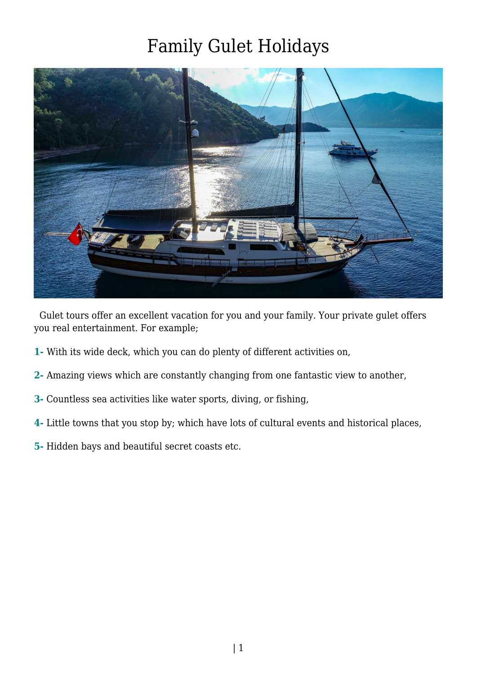

 Gulet tours offer an excellent vacation for you and your family. Your private gulet offers you real entertainment. For example;

- **1-** With its wide deck, which you can do plenty of different activities on,
- **2-** Amazing views which are constantly changing from one fantastic view to another,
- **3-** Countless sea activities like water sports, diving, or fishing,
- **4-** Little towns that you stop by; which have lots of cultural events and historical places,
- **5-** Hidden bays and beautiful secret coasts etc.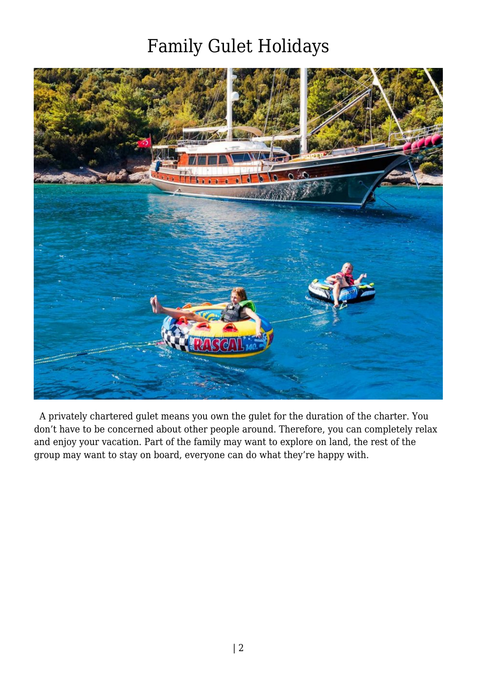

 A privately chartered gulet means you own the gulet for the duration of the charter. You don't have to be concerned about other people around. Therefore, you can completely relax and enjoy your vacation. Part of the family may want to explore on land, the rest of the group may want to stay on board, everyone can do what they're happy with.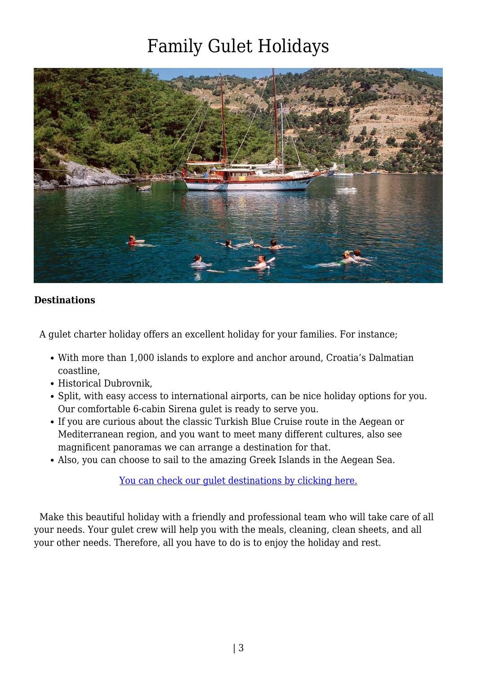

#### **Destinations**

A gulet charter holiday offers an excellent holiday for your families. For instance;

- With more than 1,000 islands to explore and anchor around, Croatia's Dalmatian coastline,
- Historical Dubrovnik.
- Split, with easy access to international airports, can be nice holiday options for you. Our comfortable 6-cabin Sirena gulet is ready to serve you.
- If you are curious about the classic Turkish Blue Cruise route in the Aegean or Mediterranean region, and you want to meet many different cultures, also see magnificent panoramas we can arrange a destination for that.
- Also, you can choose to sail to the amazing Greek Islands in the Aegean Sea.

[You can check our gulet destinations by clicking here.](https://www.guletbroker.com/#)

 Make this beautiful holiday with a friendly and professional team who will take care of all your needs. Your gulet crew will help you with the meals, cleaning, clean sheets, and all your other needs. Therefore, all you have to do is to enjoy the holiday and rest.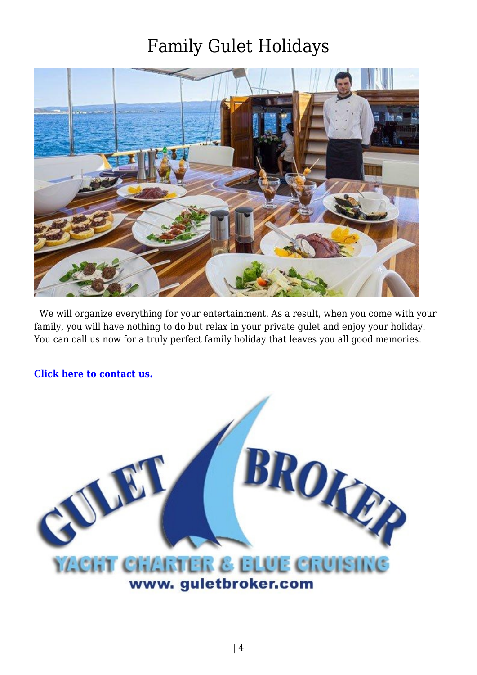

 We will organize everything for your entertainment. As a result, when you come with your family, you will have nothing to do but relax in your private gulet and enjoy your holiday. You can call us now for a truly perfect family holiday that leaves you all good memories.

**[Click here to contact us.](https://www.guletbroker.com/contact/)**

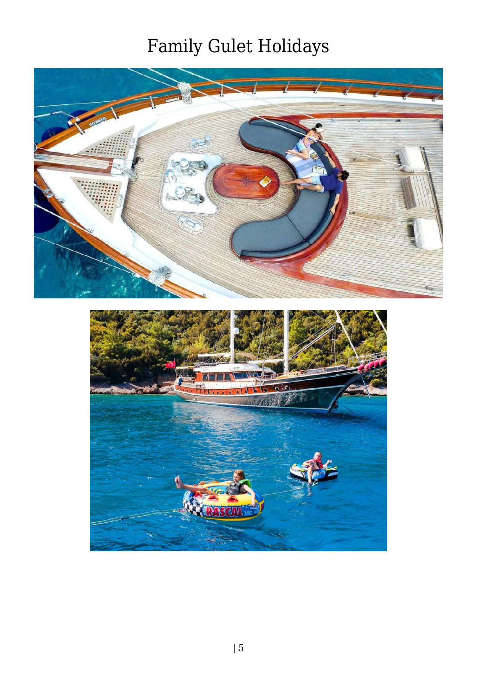